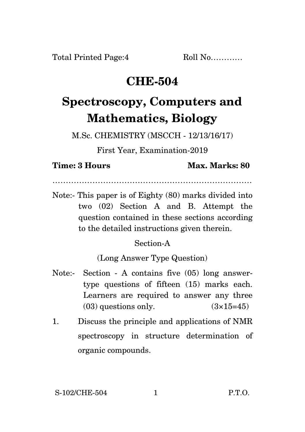Total Printed Page:4 Roll No............

## **CHE-504**

# **Spectroscopy, Computers and Mathematics, Biology**

M.Sc. CHEMISTRY (MSCCH - 12/13/16/17)

First Year, Examination-2019

**Time: 3 Hours Max. Marks: 80** 

…………………………………………………………………

Note:- This paper is of Eighty (80) marks divided into two (02) Section A and B. Attempt the question contained in these sections according to the detailed instructions given therein.

### Section-A

(Long Answer Type Question)

- Note:- Section A contains five (05) long answertype questions of fifteen (15) marks each. Learners are required to answer any three  $(03)$  questions only.  $(3\times15=45)$
- 1. Discuss the principle and applications of NMR spectroscopy in structure determination of organic compounds.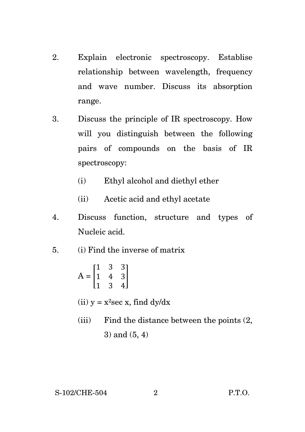- 2. Explain electronic spectroscopy. Establise relationship between wavelength, frequency and wave number. Discuss its absorption range.
- 3. Discuss the principle of IR spectroscopy. How will you distinguish between the following pairs of compounds on the basis of IR spectroscopy:
	- (i) Ethyl alcohol and diethyl ether
	- (ii) Acetic acid and ethyl acetate
- 4. Discuss function, structure and types of Nucleic acid.
- 5. (i) Find the inverse of matrix

$$
A = \begin{bmatrix} 1 & 3 & 3 \\ 1 & 4 & 3 \\ 1 & 3 & 4 \end{bmatrix}
$$

- (ii)  $y = x^2 \sec x$ , find dy/dx
- (iii) Find the distance between the points (2, 3) and (5, 4)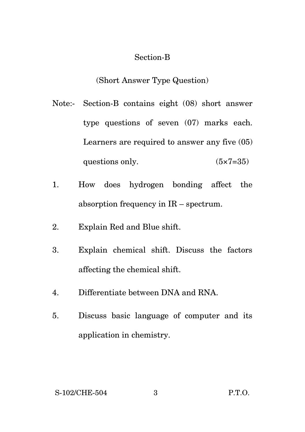### Section-B

(Short Answer Type Question)

- Note:- Section-B contains eight (08) short answer type questions of seven (07) marks each. Learners are required to answer any five (05) questions only.  $(5 \times 7 = 35)$
- 1. How does hydrogen bonding affect the absorption frequency in IR – spectrum.
- 2. Explain Red and Blue shift.
- 3. Explain chemical shift. Discuss the factors affecting the chemical shift.
- 4. Differentiate between DNA and RNA.
- 5. Discuss basic language of computer and its application in chemistry.